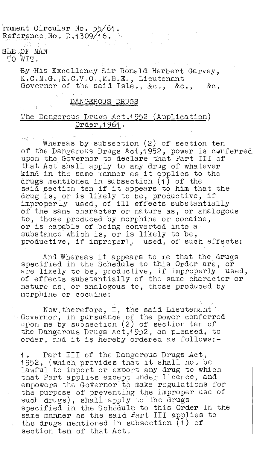rnment Circular No. 55/61. Reference No. D.1309/16.

SLE -OF MAN TO WIT.

 $\mathcal{E}_{\mathbf{X}} = \mathcal{E}(\mathbf{Y})$  .

By His Excellency Sir Ronald Herbert Garvey, K.C.M.G.,K.C.V.O.,M.B.E., Lieutenant Governor of the said Isle., &c., &c., &c.

## DANGEROUS DRUGS

## The Dangerous Drugs Act, 1952 (Application) 0rder, 1961.

Whereas by'subsection (2) of section ten of the Dangerous Drugs Act,1952, power is conferred upon the Governor to declare that Part III of that Act shall apply to any drug of whatever kind in the same manner as it applies to the drugs mentioned in subsection (1) of the said section ten if it appears to him that the drug is, or is likely to be, productive, if improperly used, of ill effects substantially of the same character or nature as, or analogous to, those produced by morphine or cocaine, or is capable of being converted into a substance Which is, or is likely to be, productive, if improperly used, of such effects:

And Whereas it appears to me that the drugs specified in the Schedule to this Order are, or are likely to be, productive, if improperly used, of effects substantially of the same character or nature as, or analogous to, those produced by morphine or cocaine:

Now therefore, I, the said Lieutenant Governor, in pursuance of the power conferred upon me by subsection (2) of section ten.of the Dangerous Drugs Act,1952, am pleased, to order, and it is hereby ordered as follows:-

1. Part III of the Dangerous Drugs Act, 1952, (which provides that it shall not be lawful to import or export any drug to which that Part applies except under licence, and empowers the Governor to make regulations for the purpose of preventing the improper use of such drugs), shall apply to the drugs specified in the Schedule to this Order in the same manner as the said Part III applies to the drugs mentioned in subsection (1) of section ten of that Act.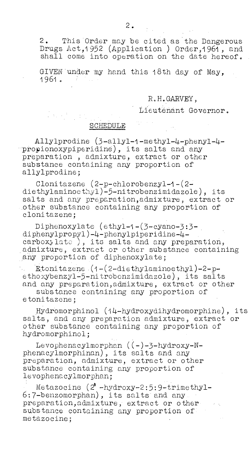2. This Order may be cited as the Dangerous Drugs Act, 1952 (Application ) Order, 1961, and shall come into operation on the date hereof.

GIVEN'under my hand this 18th day of May, 1961.

## R.H.GARVEY,

Lieutenant Governor.

## SCHEDULE

Allylprodine (3-allyl-l-methy1-4-pheny1-4 propionoxypiperidine), its salts and any preparation admixture, extract or other substance containing any proportion of allylprodine;

Clonitazene (2-p-chlorobenzy1-1-(2 diethylaminoethyl)-5-nitrobenzimidazole), its salts and any preparation,admixture, extract or -other substance containing any proportion of clonitazene;

Diphenoxylate (ethy1-1-(3-cYano-3:3 diphenylpropy1)-4-phenylpiperidine-4carboxylate ), its salts and any preparation, .admixture, extract or other substance containing any proportion of diphenoxylate;

Etonitazene-(1-(2-diethylaminoethyl)-2-pethoxybenzy1-5-nitrobenzimidazole), its salts and any preparation, admixture, extract or other

substance containing any proportion of etonitazene;

Hydromorphinol (14-hydroxydihydromorphine), its salts, and any preparation admixture, extract or other substance containing any proportion of hydromorphinol;

Levophenacylmorphan ((-)-3-hydroxy-Nphenacylmorphinan), its salts and any preparation, admixture, extract or other substance containing any proportion of levophenacylmorphan;

Metazocine  $(2^1 - hydroxy-2:5:9-trimethy1-$ 6:7-benzomorphan), its salts and any • preparation,admixture, extract or other substance containing any proportion of metazocine;